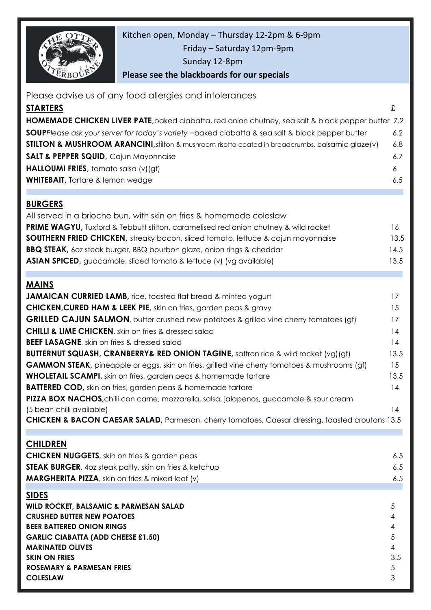

Kitchen open, Monday – Thursday 12-2pm & 6-9pm

Friday – Saturday 12pm-9pm

Sunday 12-8pm

**Please see the blackboards for our specials**

| Please advise us of any food allergies and intolerances<br><u>STARTERS</u>                                                 | £              |
|----------------------------------------------------------------------------------------------------------------------------|----------------|
|                                                                                                                            |                |
| HOMEMADE CHICKEN LIVER PATE, baked ciabatta, red onion chutney, sea salt & black pepper butter 7.2                         |                |
| <b>SOUP</b> Please ask your server for today's variety -baked ciabatta & sea salt & black pepper butter                    | 6.2            |
| <b>STILTON &amp; MUSHROOM ARANCINI</b> , stilton & mushroom risotto coated in breadcrumbs, balsamic glaze(v)               | 6.8            |
| SALT & PEPPER SQUID, Cajun Mayonnaise                                                                                      | 6.7            |
| HALLOUMI FRIES, tomato salsa (v)(gf)                                                                                       | 6              |
| <b>WHITEBAIT</b> , Tartare & lemon wedge                                                                                   | 6.5            |
| <b>BURGERS</b>                                                                                                             |                |
| All served in a brioche bun, with skin on fries & homemade coleslaw                                                        |                |
| <b>PRIME WAGYU,</b> Tuxford & Tebbutt stilton, caramelised red onion chutney & wild rocket                                 | 16             |
| <b>SOUTHERN FRIED CHICKEN</b> , streaky bacon, sliced tomato, lettuce & cajun mayonnaise                                   | 13.5           |
| <b>BBQ STEAK,</b> 60z steak burger, BBQ bourbon glaze, onion rings & cheddar                                               | 14.5           |
| <b>ASIAN SPICED</b> , guacamole, sliced tomato & lettuce (v) (vg available)                                                | 13.5           |
|                                                                                                                            |                |
| <b>MAINS</b>                                                                                                               |                |
| <b>JAMAICAN CURRIED LAMB, rice, toasted flat bread &amp; minted yogurt</b>                                                 | 17             |
| <b>CHICKEN, CURED HAM &amp; LEEK PIE, skin on fries, garden peas &amp; gravy</b>                                           | 15             |
| <b>GRILLED CAJUN SALMON</b> , butter crushed new potatoes & grilled vine cherry tomatoes (gf)                              | 17             |
| <b>CHILLI &amp; LIME CHICKEN</b> , skin on fries & dressed salad                                                           | 14             |
| <b>BEEF LASAGNE, skin on fries &amp; dressed salad</b>                                                                     | 14             |
| <b>BUTTERNUT SQUASH, CRANBERRY&amp; RED ONION TAGINE, saffron rice &amp; wild rocket (vg)(gf)</b>                          | 13.5           |
| <b>GAMMON STEAK</b> , pineapple or eggs, skin on fries, grilled vine cherry tomatoes & mushrooms (gf)                      | 15             |
| <b>WHOLETAIL SCAMPI</b> , skin on fries, garden peas & homemade tartare                                                    | 13.5           |
| <b>BATTERED COD,</b> skin on fries, garden peas & homemade tartare                                                         | 14             |
| PIZZA BOX NACHOS, chilli con carne, mozzarella, salsa, jalapenos, guacamole & sour cream                                   |                |
| (5 bean chilli available)                                                                                                  | 14             |
| CHICKEN & BACON CAESAR SALAD, Parmesan, cherry tomatoes, Caesar dressing, toasted croutons 13.5                            |                |
|                                                                                                                            |                |
| <b>CHILDREN</b>                                                                                                            |                |
| <b>CHICKEN NUGGETS, skin on fries &amp; garden peas</b>                                                                    | 6.5            |
| <b>STEAK BURGER</b> , 40z steak patty, skin on fries & ketchup<br><b>MARGHERITA PIZZA</b> , skin on fries & mixed leaf (v) | 6.5<br>6.5     |
|                                                                                                                            |                |
| <b>SIDES</b>                                                                                                               |                |
| WILD ROCKET, BALSAMIC & PARMESAN SALAD                                                                                     | $\overline{5}$ |
| <b>CRUSHED BUTTER NEW POATOES</b>                                                                                          | 4              |
| <b>BEER BATTERED ONION RINGS</b><br><b>GARLIC CIABATTA (ADD CHEESE £1.50)</b>                                              | 4<br>5         |
| <b>MARINATED OLIVES</b>                                                                                                    | 4              |
| <b>SKIN ON FRIES</b>                                                                                                       | 3.5            |
| ROSEMARY & PARMESAN FRIES                                                                                                  | $\sqrt{5}$     |
| <b>COLESLAW</b>                                                                                                            | 3              |